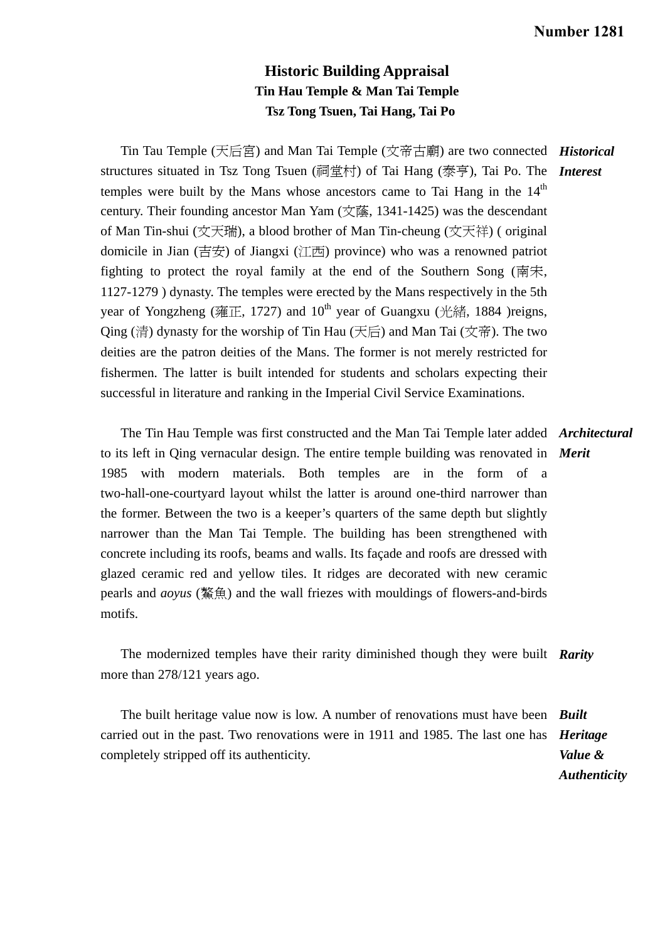*Authenticity* 

## **Historic Building Appraisal Tin Hau Temple & Man Tai Temple Tsz Tong Tsuen, Tai Hang, Tai Po**

Tin Tau Temple (天后宮) and Man Tai Temple (文帝古廟) are two connected *Historical*  structures situated in Tsz Tong Tsuen (祠堂村) of Tai Hang (泰亨), Tai Po. The *Interest*  temples were built by the Mans whose ancestors came to Tai Hang in the  $14<sup>th</sup>$ century. Their founding ancestor Man Yam (文蔭, 1341-1425) was the descendant of Man Tin-shui (文天瑞), a blood brother of Man Tin-cheung (文天祥) ( original domicile in Jian (吉安) of Jiangxi (江西) province) who was a renowned patriot fighting to protect the royal family at the end of the Southern Song (南宋, 1127-1279 ) dynasty. The temples were erected by the Mans respectively in the 5th year of Yongzheng (雍正, 1727) and  $10^{th}$  year of Guangxu (光緒, 1884 )reigns, Qing (清) dynasty for the worship of Tin Hau (天后) and Man Tai (文帝). The two deities are the patron deities of the Mans. The former is not merely restricted for fishermen. The latter is built intended for students and scholars expecting their successful in literature and ranking in the Imperial Civil Service Examinations.

 The Tin Hau Temple was first constructed and the Man Tai Temple later added *Architectural*  to its left in Qing vernacular design. The entire temple building was renovated in *Merit*  1985 with modern materials. Both temples are in the form of a two-hall-one-courtyard layout whilst the latter is around one-third narrower than the former. Between the two is a keeper's quarters of the same depth but slightly narrower than the Man Tai Temple. The building has been strengthened with concrete including its roofs, beams and walls. Its façade and roofs are dressed with glazed ceramic red and yellow tiles. It ridges are decorated with new ceramic pearls and *aoyus* (鰲魚) and the wall friezes with mouldings of flowers-and-birds motifs.

 The modernized temples have their rarity diminished though they were built *Rarity*  more than 278/121 years ago.

The built heritage value now is low. A number of renovations must have been *Built*  carried out in the past. Two renovations were in 1911 and 1985. The last one has *Heritage*  completely stripped off its authenticity. *Value &*